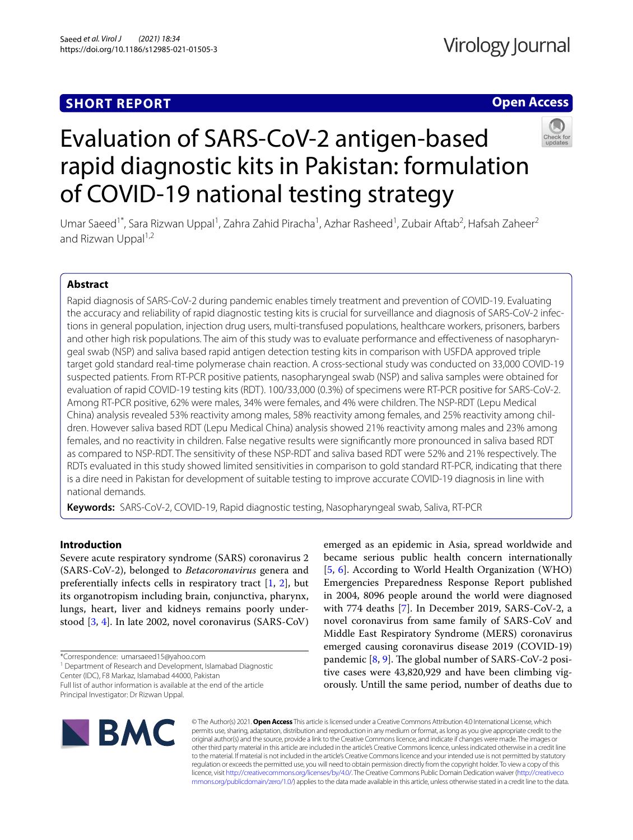# **SHORT REPORT**

# **Open Access**



# Evaluation of SARS-CoV-2 antigen-based rapid diagnostic kits in Pakistan: formulation of COVID-19 national testing strategy

Umar Saeed<sup>1\*</sup>, Sara Rizwan Uppal<sup>1</sup>, Zahra Zahid Piracha<sup>1</sup>, Azhar Rasheed<sup>1</sup>, Zubair Aftab<sup>2</sup>, Hafsah Zaheer<sup>2</sup> and Rizwan Uppal<sup>1,2</sup>

# **Abstract**

Rapid diagnosis of SARS-CoV-2 during pandemic enables timely treatment and prevention of COVID-19. Evaluating the accuracy and reliability of rapid diagnostic testing kits is crucial for surveillance and diagnosis of SARS-CoV-2 infections in general population, injection drug users, multi-transfused populations, healthcare workers, prisoners, barbers and other high risk populations. The aim of this study was to evaluate performance and efectiveness of nasopharyngeal swab (NSP) and saliva based rapid antigen detection testing kits in comparison with USFDA approved triple target gold standard real-time polymerase chain reaction. A cross-sectional study was conducted on 33,000 COVID-19 suspected patients. From RT-PCR positive patients, nasopharyngeal swab (NSP) and saliva samples were obtained for evaluation of rapid COVID-19 testing kits (RDT). 100/33,000 (0.3%) of specimens were RT-PCR positive for SARS-CoV-2. Among RT-PCR positive, 62% were males, 34% were females, and 4% were children. The NSP-RDT (Lepu Medical China) analysis revealed 53% reactivity among males, 58% reactivity among females, and 25% reactivity among children. However saliva based RDT (Lepu Medical China) analysis showed 21% reactivity among males and 23% among females, and no reactivity in children. False negative results were signifcantly more pronounced in saliva based RDT as compared to NSP-RDT. The sensitivity of these NSP-RDT and saliva based RDT were 52% and 21% respectively. The RDTs evaluated in this study showed limited sensitivities in comparison to gold standard RT-PCR, indicating that there is a dire need in Pakistan for development of suitable testing to improve accurate COVID-19 diagnosis in line with national demands.

**Keywords:** SARS-CoV-2, COVID-19, Rapid diagnostic testing, Nasopharyngeal swab, Saliva, RT-PCR

# **Introduction**

Severe acute respiratory syndrome (SARS) coronavirus 2 (SARS-CoV-2), belonged to *Betacoronavirus* genera and preferentially infects cells in respiratory tract [\[1](#page-4-0), [2\]](#page-4-1), but its organotropism including brain, conjunctiva, pharynx, lungs, heart, liver and kidneys remains poorly understood [\[3](#page-4-2), [4](#page-4-3)]. In late 2002, novel coronavirus (SARS-CoV)

<sup>1</sup> Department of Research and Development, Islamabad Diagnostic

Center (IDC), F8 Markaz, Islamabad 44000, Pakistan

Full list of author information is available at the end of the article Principal Investigator: Dr Rizwan Uppal.

emerged as an epidemic in Asia, spread worldwide and became serious public health concern internationally [[5,](#page-4-4) [6](#page-4-5)]. According to World Health Organization (WHO) Emergencies Preparedness Response Report published in 2004, 8096 people around the world were diagnosed with 774 deaths [[7\]](#page-4-6). In December 2019, SARS-CoV-2, a novel coronavirus from same family of SARS-CoV and Middle East Respiratory Syndrome (MERS) coronavirus emerged causing coronavirus disease 2019 (COVID-19) pandemic  $[8, 9]$  $[8, 9]$  $[8, 9]$ . The global number of SARS-CoV-2 positive cases were 43,820,929 and have been climbing vigorously. Untill the same period, number of deaths due to



© The Author(s) 2021. **Open Access** This article is licensed under a Creative Commons Attribution 4.0 International License, which permits use, sharing, adaptation, distribution and reproduction in any medium or format, as long as you give appropriate credit to the original author(s) and the source, provide a link to the Creative Commons licence, and indicate if changes were made. The images or other third party material in this article are included in the article's Creative Commons licence, unless indicated otherwise in a credit line to the material. If material is not included in the article's Creative Commons licence and your intended use is not permitted by statutory regulation or exceeds the permitted use, you will need to obtain permission directly from the copyright holder. To view a copy of this licence, visit [http://creativecommons.org/licenses/by/4.0/.](http://creativecommons.org/licenses/by/4.0/) The Creative Commons Public Domain Dedication waiver ([http://creativeco](http://creativecommons.org/publicdomain/zero/1.0/) [mmons.org/publicdomain/zero/1.0/](http://creativecommons.org/publicdomain/zero/1.0/)) applies to the data made available in this article, unless otherwise stated in a credit line to the data.

<sup>\*</sup>Correspondence: umarsaeed15@yahoo.com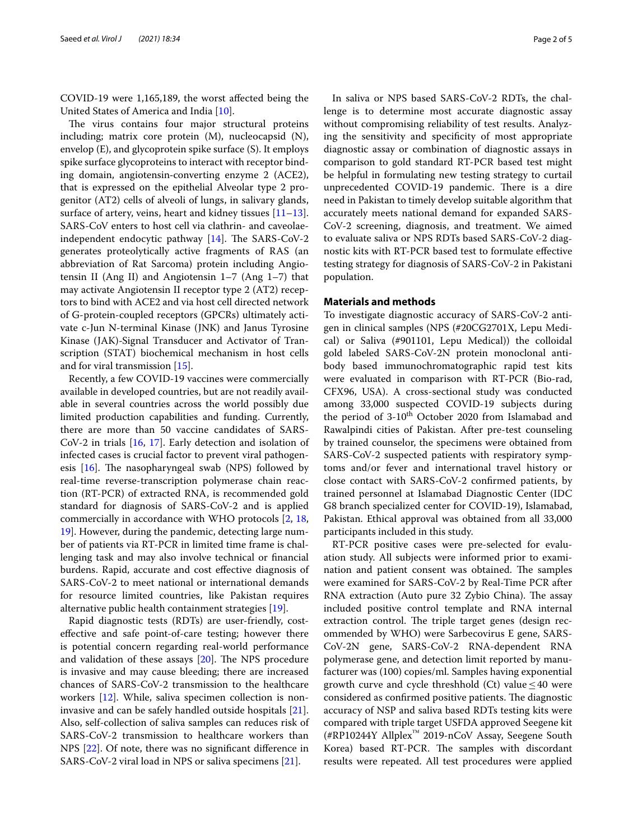COVID-19 were 1,165,189, the worst afected being the United States of America and India [[10](#page-4-9)].

The virus contains four major structural proteins including; matrix core protein (M), nucleocapsid (N), envelop (E), and glycoprotein spike surface (S). It employs spike surface glycoproteins to interact with receptor binding domain, angiotensin‐converting enzyme 2 (ACE2), that is expressed on the epithelial Alveolar type 2 progenitor (AT2) cells of alveoli of lungs, in salivary glands, surface of artery, veins, heart and kidney tissues [[11](#page-4-10)[–13](#page-4-11)]. SARS-CoV enters to host cell via clathrin- and caveolaeindependent endocytic pathway  $[14]$  $[14]$ . The SARS-CoV-2 generates proteolytically active fragments of RAS (an abbreviation of Rat Sarcoma) protein including Angiotensin II (Ang II) and Angiotensin 1–7 (Ang 1–7) that may activate Angiotensin II receptor type 2 (AT2) receptors to bind with ACE2 and via host cell directed network of G-protein-coupled receptors (GPCRs) ultimately activate c-Jun N-terminal Kinase (JNK) and Janus Tyrosine Kinase (JAK)-Signal Transducer and Activator of Transcription (STAT) biochemical mechanism in host cells and for viral transmission [[15](#page-4-13)].

Recently, a few COVID-19 vaccines were commercially available in developed countries, but are not readily available in several countries across the world possibly due limited production capabilities and funding. Currently, there are more than 50 vaccine candidates of SARS-CoV-2 in trials [[16,](#page-4-14) [17](#page-4-15)]. Early detection and isolation of infected cases is crucial factor to prevent viral pathogenesis  $[16]$ . The nasopharyngeal swab (NPS) followed by real-time reverse-transcription polymerase chain reaction (RT-PCR) of extracted RNA, is recommended gold standard for diagnosis of SARS-CoV-2 and is applied commercially in accordance with WHO protocols [\[2](#page-4-1), [18](#page-4-16), [19\]](#page-4-17). However, during the pandemic, detecting large number of patients via RT-PCR in limited time frame is challenging task and may also involve technical or fnancial burdens. Rapid, accurate and cost efective diagnosis of SARS-CoV-2 to meet national or international demands for resource limited countries, like Pakistan requires alternative public health containment strategies [\[19](#page-4-17)].

Rapid diagnostic tests (RDTs) are user-friendly, costefective and safe point-of-care testing; however there is potential concern regarding real-world performance and validation of these assays  $[20]$  $[20]$  $[20]$ . The NPS procedure is invasive and may cause bleeding; there are increased chances of SARS-CoV-2 transmission to the healthcare workers [\[12](#page-4-19)]. While, saliva specimen collection is noninvasive and can be safely handled outside hospitals [\[21](#page-4-20)]. Also, self-collection of saliva samples can reduces risk of SARS-CoV-2 transmission to healthcare workers than NPS [\[22](#page-4-21)]. Of note, there was no signifcant diference in SARS-CoV-2 viral load in NPS or saliva specimens [[21\]](#page-4-20).

In saliva or NPS based SARS-CoV-2 RDTs, the challenge is to determine most accurate diagnostic assay without compromising reliability of test results. Analyzing the sensitivity and specifcity of most appropriate diagnostic assay or combination of diagnostic assays in comparison to gold standard RT-PCR based test might be helpful in formulating new testing strategy to curtail unprecedented COVID-19 pandemic. There is a dire need in Pakistan to timely develop suitable algorithm that accurately meets national demand for expanded SARS-CoV-2 screening, diagnosis, and treatment. We aimed to evaluate saliva or NPS RDTs based SARS-CoV-2 diagnostic kits with RT-PCR based test to formulate efective testing strategy for diagnosis of SARS-CoV-2 in Pakistani population.

## **Materials and methods**

To investigate diagnostic accuracy of SARS-CoV-2 antigen in clinical samples (NPS (#20CG2701X, Lepu Medical) or Saliva (#901101, Lepu Medical)) the colloidal gold labeled SARS-CoV-2N protein monoclonal antibody based immunochromatographic rapid test kits were evaluated in comparison with RT-PCR (Bio-rad, CFX96, USA). A cross-sectional study was conducted among 33,000 suspected COVID-19 subjects during the period of  $3-10^{th}$  October 2020 from Islamabad and Rawalpindi cities of Pakistan. After pre-test counseling by trained counselor, the specimens were obtained from SARS-CoV-2 suspected patients with respiratory symptoms and/or fever and international travel history or close contact with SARS-CoV-2 confrmed patients, by trained personnel at Islamabad Diagnostic Center (IDC G8 branch specialized center for COVID-19), Islamabad, Pakistan. Ethical approval was obtained from all 33,000 participants included in this study.

RT-PCR positive cases were pre-selected for evaluation study. All subjects were informed prior to examination and patient consent was obtained. The samples were examined for SARS-CoV-2 by Real-Time PCR after RNA extraction (Auto pure 32 Zybio China). The assay included positive control template and RNA internal extraction control. The triple target genes (design recommended by WHO) were Sarbecovirus E gene, SARS-CoV-2N gene, SARS-CoV-2 RNA-dependent RNA polymerase gene, and detection limit reported by manufacturer was (100) copies/ml. Samples having exponential growth curve and cycle threshhold (Ct) value  $\leq 40$  were considered as confirmed positive patients. The diagnostic accuracy of NSP and saliva based RDTs testing kits were compared with triple target USFDA approved Seegene kit (#RP10244Y Allplex™ 2019-nCoV Assay, Seegene South Korea) based RT-PCR. The samples with discordant results were repeated. All test procedures were applied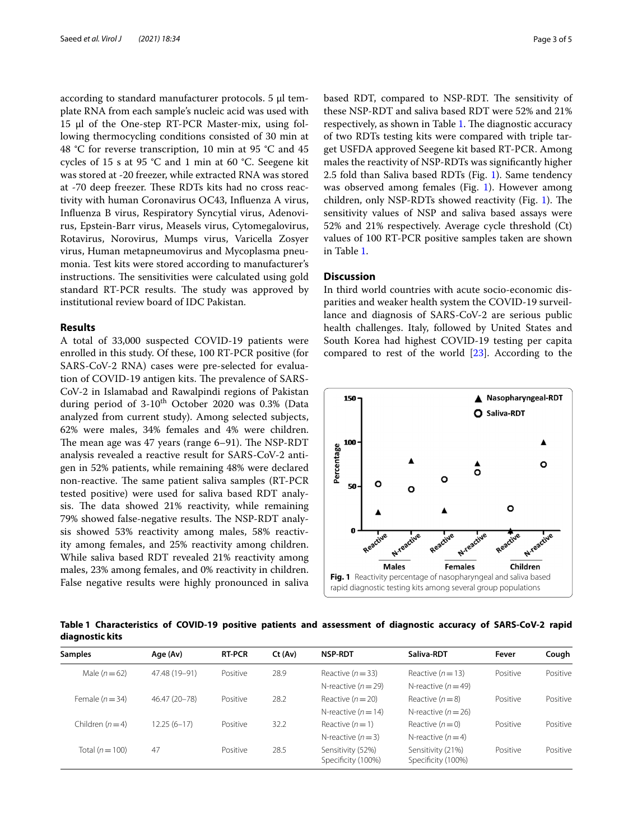according to standard manufacturer protocols. 5 µl template RNA from each sample's nucleic acid was used with 15 μl of the One-step RT-PCR Master-mix, using following thermocycling conditions consisted of 30 min at 48 °C for reverse transcription, 10 min at 95 °C and 45 cycles of 15 s at 95 °C and 1 min at 60 °C. Seegene kit was stored at -20 freezer, while extracted RNA was stored at -70 deep freezer. These RDTs kits had no cross reactivity with human Coronavirus OC43, Infuenza A virus, Infuenza B virus, Respiratory Syncytial virus, Adenovirus, Epstein-Barr virus, Measels virus, Cytomegalovirus, Rotavirus, Norovirus, Mumps virus, Varicella Zosyer virus, Human metapneumovirus and Mycoplasma pneumonia. Test kits were stored according to manufacturer's instructions. The sensitivities were calculated using gold standard RT-PCR results. The study was approved by institutional review board of IDC Pakistan.

## **Results**

A total of 33,000 suspected COVID-19 patients were enrolled in this study. Of these, 100 RT-PCR positive (for SARS-CoV-2 RNA) cases were pre-selected for evaluation of COVID-19 antigen kits. The prevalence of SARS-CoV-2 in Islamabad and Rawalpindi regions of Pakistan during period of  $3-10^{th}$  October 2020 was 0.3% (Data analyzed from current study). Among selected subjects, 62% were males, 34% females and 4% were children. The mean age was  $47$  years (range  $6-91$ ). The NSP-RDT analysis revealed a reactive result for SARS-CoV-2 antigen in 52% patients, while remaining 48% were declared non-reactive. The same patient saliva samples (RT-PCR tested positive) were used for saliva based RDT analysis. The data showed 21% reactivity, while remaining 79% showed false-negative results. The NSP-RDT analysis showed 53% reactivity among males, 58% reactivity among females, and 25% reactivity among children. While saliva based RDT revealed 21% reactivity among males, 23% among females, and 0% reactivity in children. False negative results were highly pronounced in saliva based RDT, compared to NSP-RDT. The sensitivity of these NSP-RDT and saliva based RDT were 52% and 21% respectively, as shown in Table [1](#page-2-0). The diagnostic accuracy of two RDTs testing kits were compared with triple target USFDA approved Seegene kit based RT-PCR. Among males the reactivity of NSP-RDTs was signifcantly higher 2.5 fold than Saliva based RDTs (Fig. [1\)](#page-2-1). Same tendency was observed among females (Fig. [1\)](#page-2-1). However among children, only NSP-RDTs showed reactivity (Fig. [1\)](#page-2-1). The sensitivity values of NSP and saliva based assays were 52% and 21% respectively. Average cycle threshold (Ct) values of 100 RT-PCR positive samples taken are shown in Table [1.](#page-2-0)

## **Discussion**

In third world countries with acute socio-economic disparities and weaker health system the COVID-19 surveillance and diagnosis of SARS-CoV-2 are serious public health challenges. Italy, followed by United States and South Korea had highest COVID-19 testing per capita compared to rest of the world [\[23](#page-4-22)]. According to the

<span id="page-2-1"></span>

<span id="page-2-0"></span>**Table 1 Characteristics of COVID-19 positive patients and assessment of diagnostic accuracy of SARS-CoV-2 rapid diagnostic kits**

| <b>Samples</b>   | Age (Av)      | <b>RT-PCR</b> | Ct (Av) | <b>NSP-RDT</b>                          | Saliva-RDT                              | Fever    | Cough    |
|------------------|---------------|---------------|---------|-----------------------------------------|-----------------------------------------|----------|----------|
| Male $(n=62)$    | 47.48 (19-91) | Positive      | 28.9    | Reactive $(n=33)$                       | Reactive $(n=13)$                       | Positive | Positive |
|                  |               |               |         | N-reactive $(n=29)$                     | N-reactive $(n=49)$                     |          |          |
| Female $(n=34)$  | 46.47 (20-78) | Positive      | 28.2    | Reactive $(n=20)$                       | Reactive $(n=8)$                        | Positive | Positive |
|                  |               |               |         | N-reactive $(n=14)$                     | N-reactive $(n=26)$                     |          |          |
| Children $(n=4)$ | 12.25 (6–17)  | Positive      | 32.2    | Reactive $(n=1)$                        | Reactive $(n=0)$                        | Positive | Positive |
|                  |               |               |         | N-reactive $(n=3)$                      | N-reactive $(n=4)$                      |          |          |
| Total $(n=100)$  | 47            | Positive      | 28.5    | Sensitivity (52%)<br>Specificity (100%) | Sensitivity (21%)<br>Specificity (100%) | Positive | Positive |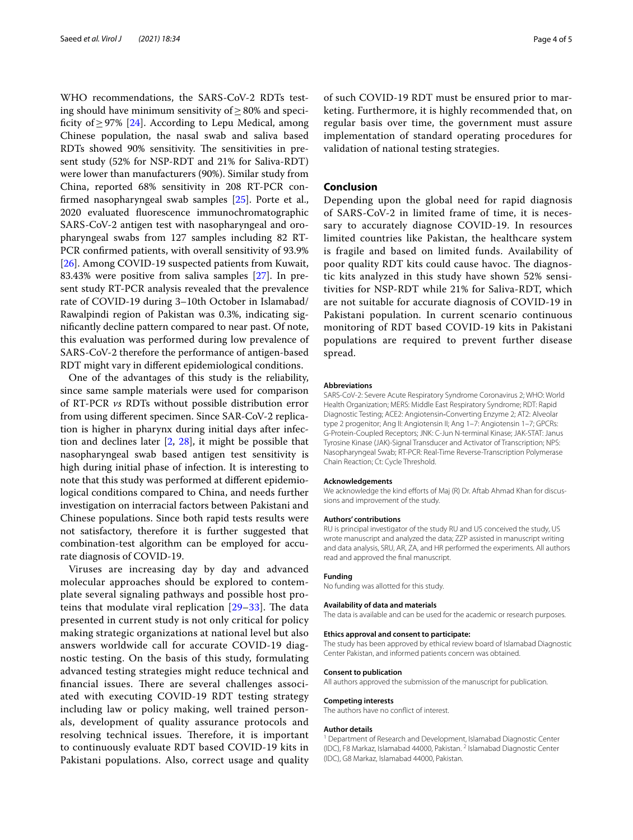WHO recommendations, the SARS-CoV-2 RDTs testing should have minimum sensitivity of  $\geq$ 80% and specificity of  $\geq$  97% [\[24\]](#page-4-23). According to Lepu Medical, among Chinese population, the nasal swab and saliva based RDTs showed 90% sensitivity. The sensitivities in present study (52% for NSP-RDT and 21% for Saliva-RDT) were lower than manufacturers (90%). Similar study from China, reported 68% sensitivity in 208 RT-PCR confrmed nasopharyngeal swab samples [[25](#page-4-24)]. Porte et al., 2020 evaluated fuorescence immunochromatographic SARS-CoV-2 antigen test with nasopharyngeal and oropharyngeal swabs from 127 samples including 82 RT-PCR confrmed patients, with overall sensitivity of 93.9% [[26\]](#page-4-25). Among COVID-19 suspected patients from Kuwait, 83.43% were positive from saliva samples [[27\]](#page-4-26). In present study RT-PCR analysis revealed that the prevalence rate of COVID-19 during 3–10th October in Islamabad/ Rawalpindi region of Pakistan was 0.3%, indicating signifcantly decline pattern compared to near past. Of note, this evaluation was performed during low prevalence of SARS-CoV-2 therefore the performance of antigen-based RDT might vary in diferent epidemiological conditions.

One of the advantages of this study is the reliability, since same sample materials were used for comparison of RT-PCR *vs* RDTs without possible distribution error from using diferent specimen. Since SAR-CoV-2 replication is higher in pharynx during initial days after infection and declines later [[2](#page-4-1), [28](#page-4-27)], it might be possible that nasopharyngeal swab based antigen test sensitivity is high during initial phase of infection. It is interesting to note that this study was performed at diferent epidemiological conditions compared to China, and needs further investigation on interracial factors between Pakistani and Chinese populations. Since both rapid tests results were not satisfactory, therefore it is further suggested that combination-test algorithm can be employed for accurate diagnosis of COVID-19.

Viruses are increasing day by day and advanced molecular approaches should be explored to contemplate several signaling pathways and possible host proteins that modulate viral replication  $[29-33]$  $[29-33]$ . The data presented in current study is not only critical for policy making strategic organizations at national level but also answers worldwide call for accurate COVID-19 diagnostic testing. On the basis of this study, formulating advanced testing strategies might reduce technical and financial issues. There are several challenges associated with executing COVID-19 RDT testing strategy including law or policy making, well trained personals, development of quality assurance protocols and resolving technical issues. Therefore, it is important to continuously evaluate RDT based COVID-19 kits in Pakistani populations. Also, correct usage and quality

of such COVID-19 RDT must be ensured prior to marketing. Furthermore, it is highly recommended that, on regular basis over time, the government must assure implementation of standard operating procedures for validation of national testing strategies.

## **Conclusion**

Depending upon the global need for rapid diagnosis of SARS-CoV-2 in limited frame of time, it is necessary to accurately diagnose COVID-19. In resources limited countries like Pakistan, the healthcare system is fragile and based on limited funds. Availability of poor quality RDT kits could cause havoc. The diagnostic kits analyzed in this study have shown 52% sensitivities for NSP-RDT while 21% for Saliva-RDT, which are not suitable for accurate diagnosis of COVID-19 in Pakistani population. In current scenario continuous monitoring of RDT based COVID-19 kits in Pakistani populations are required to prevent further disease spread.

#### **Abbreviations**

SARS-CoV-2: Severe Acute Respiratory Syndrome Coronavirus 2; WHO: World Health Organization; MERS: Middle East Respiratory Syndrome; RDT: Rapid Diagnostic Testing; ACE2: Angiotensin‐Converting Enzyme 2; AT2: Alveolar type 2 progenitor; Ang II: Angiotensin II; Ang 1–7: Angiotensin 1–7; GPCRs: G-Protein-Coupled Receptors; JNK: C-Jun N-terminal Kinase; JAK-STAT: Janus Tyrosine Kinase (JAK)-Signal Transducer and Activator of Transcription; NPS: Nasopharyngeal Swab; RT-PCR: Real-Time Reverse-Transcription Polymerase Chain Reaction; Ct: Cycle Threshold.

#### **Acknowledgements**

We acknowledge the kind efforts of Maj (R) Dr. Aftab Ahmad Khan for discussions and improvement of the study.

#### **Authors' contributions**

RU is principal investigator of the study RU and US conceived the study, US wrote manuscript and analyzed the data; ZZP assisted in manuscript writing and data analysis, SRU, AR, ZA, and HR performed the experiments. All authors read and approved the fnal manuscript.

#### **Funding**

No funding was allotted for this study.

#### **Availability of data and materials**

The data is available and can be used for the academic or research purposes.

#### **Ethics approval and consent to participate:**

The study has been approved by ethical review board of Islamabad Diagnostic Center Pakistan, and informed patients concern was obtained.

#### **Consent to publication**

All authors approved the submission of the manuscript for publication.

## **Competing interests**

The authors have no confict of interest.

#### **Author details**

<sup>1</sup> Department of Research and Development, Islamabad Diagnostic Center (IDC), F8 Markaz, Islamabad 44000, Pakistan. <sup>2</sup> Islamabad Diagnostic Center (IDC), G8 Markaz, Islamabad 44000, Pakistan.